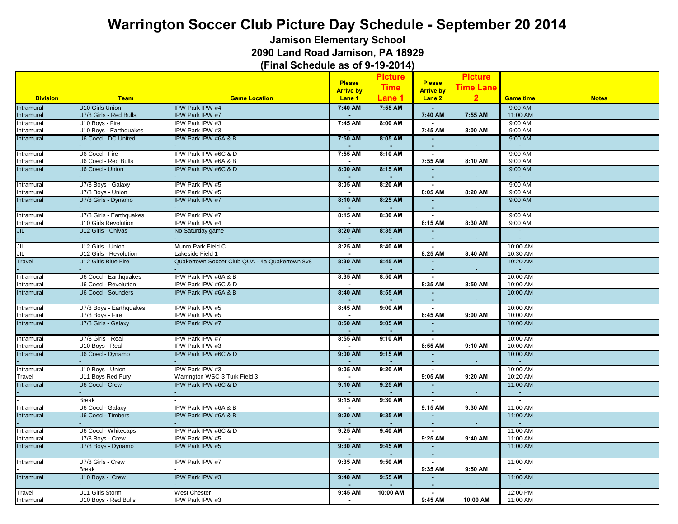**Jamison Elementary School**

**2090 Land Road Jamison, PA 18929**

|                 |                                               |                                                |                  | <b>Picture</b> |                          | <b>Picture</b>   |                         |              |
|-----------------|-----------------------------------------------|------------------------------------------------|------------------|----------------|--------------------------|------------------|-------------------------|--------------|
|                 |                                               |                                                | <b>Please</b>    |                | <b>Please</b>            | <b>Time Lane</b> |                         |              |
|                 |                                               |                                                | <b>Arrive by</b> | <b>Time</b>    | <b>Arrive by</b>         |                  |                         |              |
| <b>Division</b> | <b>Team</b>                                   | <b>Game Location</b>                           | Lane 1           | Lane 1         | Lane 2                   | 2 <sup>2</sup>   | <b>Game time</b>        | <b>Notes</b> |
| Intramural      | <b>U10 Girls Union</b>                        | IPW Park IPW #4                                | 7:40 AM          | 7:55 AM        |                          |                  | 9:00 AM                 |              |
| Intramural      | U7/8 Girls - Red Bulls                        | IPW Park IPW #7                                | $\sim$           |                | 7:40 AM                  | 7:55 AM          | 11:00 AM                |              |
| Intramural      | U10 Boys - Fire                               | IPW Park IPW #3                                | 7:45 AM          | 8:00 AM        |                          |                  | 9:00 AM                 |              |
| Intramural      | U10 Boys - Earthquakes<br>U6 Coed - DC United | IPW Park IPW #3                                |                  |                | 7:45 AM                  | 8:00 AM          | 9:00 AM                 |              |
| Intramural      |                                               | IPW Park IPW #6A & B                           | 7:50 AM          | 8:05 AM        |                          |                  | 9:00 AM                 |              |
| Intramural      | U6 Coed - Fire                                | IPW Park IPW #6C & D                           | 7:55 AM          | 8:10 AM        | $\sim$                   |                  | 9:00 AM                 |              |
| Intramural      | U6 Coed - Red Bulls                           | IPW Park IPW #6A & B                           |                  |                | 7:55 AM                  | 8:10 AM          | 9:00 AM                 |              |
| Intramural      | U6 Coed - Union                               | IPW Park IPW #6C & D                           | 8:00 AM          | 8:15 AM        |                          |                  | 9:00 AM<br>$\sim$       |              |
| Intramural      | U7/8 Boys - Galaxy                            | IPW Park IPW #5                                | 8:05 AM          | 8:20 AM        | $\blacksquare$           |                  | 9:00 AM                 |              |
| Intramural      | U7/8 Boys - Union                             | IPW Park IPW #5                                |                  |                | 8:05 AM                  | 8:20 AM          | 9:00 AM                 |              |
| Intramural      | U7/8 Girls - Dynamo                           | IPW Park IPW #7                                | 8:10 AM          | 8:25 AM        | $\mathbf{r}$<br>$\sim$   |                  | 9:00 AM<br>$\sim$       |              |
| Intramural      | U7/8 Girls - Earthquakes                      | IPW Park IPW #7                                | 8:15 AM          | 8:30 AM        |                          |                  | 9:00 AM                 |              |
| Intramural      | U10 Girls Revolution                          | IPW Park IPW #4                                |                  |                | 8:15 AM                  | 8:30 AM          | 9:00 AM                 |              |
| JIL             | U12 Girls - Chivas                            | No Saturday game                               | 8:20 AM          | 8:35 AM        |                          |                  | $\sim$<br>$\mathcal{L}$ |              |
| JIL             | U12 Girls - Union                             | Munro Park Field C                             | 8:25 AM          | 8:40 AM        |                          |                  | 10:00 AM                |              |
| JIL             | U12 Girls - Revolution                        | Lakeside Field 1                               |                  |                | 8:25 AM                  | 8:40 AM          | 10:30 AM                |              |
| Travel          | U12 Girls Blue Fire                           | Quakertown Soccer Club QUA - 4a Quakertown 8v8 | 8:30 AM          | 8:45 AM        |                          |                  | 10:20 AM<br>$\sim$      |              |
| Intramural      | U6 Coed - Earthquakes                         | IPW Park IPW #6A & B                           | 8:35 AM          | 8:50 AM        | $\mathbf{r}$             |                  | 10:00 AM                |              |
| Intramural      | U6 Coed - Revolution                          | IPW Park IPW #6C & D                           |                  |                | 8:35 AM                  | 8:50 AM          | 10:00 AM                |              |
| Intramural      | <b>U6 Coed - Sounders</b>                     | IPW Park IPW #6A & B                           | 8:40 AM          | 8:55 AM        |                          | $\bullet$        | 10:00 AM<br>$\omega$    |              |
| Intramural      | U7/8 Boys - Earthquakes                       | IPW Park IPW #5                                | 8:45 AM          | $9:00$ AM      |                          |                  | 10:00 AM                |              |
| Intramural      | U7/8 Boys - Fire                              | IPW Park IPW #5                                |                  |                | 8:45 AM                  | 9:00 AM          | 10:00 AM                |              |
| Intramural      | U7/8 Girls - Galaxy                           | IPW Park IPW #7                                | 8:50 AM          | $9:05$ AM      | $\mathbf{r}$             |                  | 10:00 AM                |              |
|                 |                                               |                                                |                  |                |                          |                  |                         |              |
| Intramural      | U7/8 Girls - Real                             | IPW Park IPW #7                                | 8:55 AM          | 9:10 AM        | $\sim$                   |                  | 10:00 AM                |              |
| Intramural      | U10 Boys - Real                               | IPW Park IPW #3                                |                  |                | 8:55 AM                  | 9:10 AM          | 10:00 AM                |              |
| Intramural      | U6 Coed - Dynamo                              | IPW Park IPW #6C & D                           | $9:00$ AM        | 9:15 AM        |                          |                  | 10:00 AM<br>$\sim$      |              |
| Intramural      | U10 Boys - Union                              | IPW Park IPW #3                                | 9:05 AM          | 9:20 AM        | $\mathbf{r}$             |                  | 10:00 AM                |              |
| Travel          | U11 Boys Red Fury                             | Warrington WSC-3 Turk Field 3                  |                  |                | 9:05 AM                  | 9:20 AM          | 10:20 AM                |              |
| Intramural      | U6 Coed - Crew                                | IPW Park IPW #6C & D                           | 9:10 AM          | 9:25 AM        | $\sim$                   |                  | 11:00 AM<br>$\omega$    |              |
|                 | <b>Break</b>                                  |                                                | 9:15 AM          | 9:30 AM        |                          |                  |                         |              |
| Intramural      | U6 Coed - Galaxy                              | IPW Park IPW #6A & B                           |                  |                | 9:15 AM                  | 9:30 AM          | 11:00 AM                |              |
| Intramural      | U6 Coed - Timbers                             | IPW Park IPW #6A & B                           | 9:20 AM          | 9:35 AM        |                          |                  | 11:00 AM<br>$\sim$      |              |
| Intramural      | U6 Coed - Whitecaps                           | IPW Park IPW #6C & D                           | 9:25 AM          | 9:40 AM        | $\sim$                   |                  | 11:00 AM                |              |
| Intramural      | U7/8 Boys - Crew                              | IPW Park IPW #5                                |                  |                | 9:25 AM                  | 9:40 AM          | 11:00 AM                |              |
| Intramural      | U7/8 Boys - Dynamo                            | IPW Park IPW #5                                | 9:30 AM          | 9:45 AM        | $\sim$<br>$\blacksquare$ |                  | 11:00 AM<br>$\sim$      |              |
| Intramural      | U7/8 Girls - Crew                             | IPW Park IPW #7                                | 9:35 AM          | $9:50$ AM      | $\mathbf{r}$             |                  | 11:00 AM                |              |
|                 | <b>Break</b>                                  |                                                | $\sim$           |                | 9:35 AM                  | 9:50 AM          | $\sim$                  |              |
| Intramural      | U10 Boys - Crew                               | IPW Park IPW #3                                | 9:40 AM          | $9:55$ AM      | $\overline{a}$           |                  | 11:00 AM                |              |
| Travel          | U11 Girls Storm                               | <b>West Chester</b>                            | 9:45 AM          | 10:00 AM       |                          |                  | 12:00 PM                |              |
| Intramural      | U10 Boys - Red Bulls                          | IPW Park IPW #3                                |                  |                | 9:45 AM                  | 10:00 AM         | 11:00 AM                |              |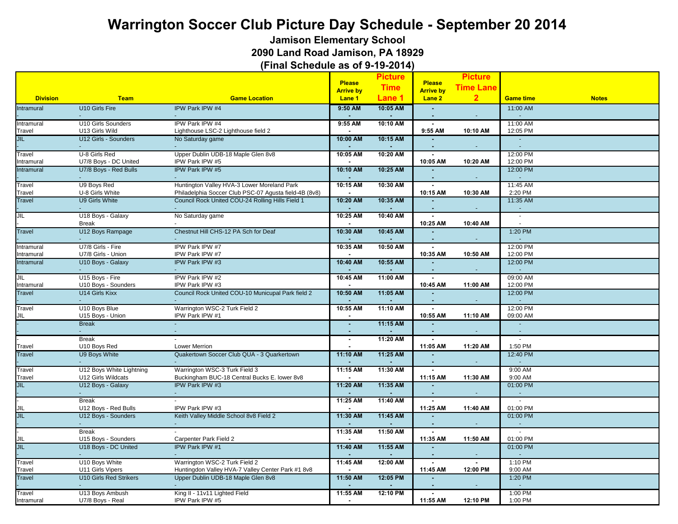**Jamison Elementary School**

**2090 Land Road Jamison, PA 18929**

|                 |                               |                                                       |                             | <b>Picture</b> |                                   | <b>Picture</b>   |                              |              |
|-----------------|-------------------------------|-------------------------------------------------------|-----------------------------|----------------|-----------------------------------|------------------|------------------------------|--------------|
|                 |                               |                                                       | <b>Please</b>               | <b>Time</b>    | <b>Please</b><br><b>Arrive by</b> | <b>Time Lane</b> |                              |              |
| <b>Division</b> | <b>Team</b>                   | <b>Game Location</b>                                  | <b>Arrive by</b><br>Lane 1  | Lane 1         | Lane <sub>2</sub>                 | 2 <sub>2</sub>   | <b>Game time</b>             | <b>Notes</b> |
| Intramural      | U10 Girls Fire                | IPW Park IPW #4                                       | $9:50$ AM                   | 10:05 AM       |                                   |                  | 11:00 AM                     |              |
|                 |                               |                                                       |                             |                |                                   |                  |                              |              |
| Intramural      | U10 Girls Sounders            | IPW Park IPW #4                                       | 9:55 AM                     | 10:10 AM       | $\sim$                            |                  | 11:00 AM                     |              |
| Travel          | U13 Girls Wild                | Lighthouse LSC-2 Lighthouse field 2                   |                             |                | 9:55 AM                           | 10:10 AM         | 12:05 PM                     |              |
| <b>JIL</b>      | U12 Girls - Sounders          | No Saturday game                                      | 10:00 AM                    | 10:15 AM       |                                   |                  | $\sim$<br>$\sim$             |              |
| Travel          | U-8 Girls Red                 | Upper Dublin UDB-18 Maple Glen 8v8                    | 10:05 AM                    | 10:20 AM       |                                   |                  | 12:00 PM                     |              |
| Intramural      | U7/8 Boys - DC United         | IPW Park IPW #5                                       | $\blacksquare$              |                | 10:05 AM                          | 10:20 AM         | 12:00 PM                     |              |
| Intramural      | U7/8 Boys - Red Bulls         | IPW Park IPW #5                                       | 10:10 AM                    | 10:25 AM       |                                   |                  | 12:00 PM<br>ä,               |              |
| Travel          | U9 Boys Red                   | Huntington Valley HVA-3 Lower Moreland Park           | 10:15 AM                    | 10:30 AM       |                                   |                  | 11:45 AM                     |              |
| Travel          | U-8 Girls White               | Philadelphia Soccer Club PSC-07 Agusta field-4B (8v8) |                             |                | 10:15 AM                          | 10:30 AM         | 2:20 PM                      |              |
| <b>Travel</b>   | U9 Girls White                | Council Rock United COU-24 Rolling Hills Field 1      | 10:20 AM                    | 10:35 AM       |                                   | $\sim$           | 11:35 AM<br>$\omega$         |              |
| JIL             | U18 Boys - Galaxy             | No Saturday game                                      | 10:25 AM                    | 10:40 AM       |                                   |                  | $\tilde{\phantom{a}}$        |              |
|                 | <b>Break</b>                  |                                                       |                             |                | 10:25 AM                          | 10:40 AM         |                              |              |
| <b>Travel</b>   | U12 Boys Rampage              | Chestnut Hill CHS-12 PA Sch for Deaf                  | 10:30 AM                    | 10:45 AM       |                                   |                  | 1:20 PM                      |              |
|                 |                               |                                                       |                             |                |                                   |                  |                              |              |
| Intramural      | U7/8 Girls - Fire             | IPW Park IPW #7                                       | 10:35 AM                    | 10:50 AM       |                                   |                  | 12:00 PM                     |              |
| Intramural      | U7/8 Girls - Union            | IPW Park IPW #7                                       | $\sim$                      |                | 10:35 AM                          | 10:50 AM         | 12:00 PM                     |              |
| Intramural      | U10 Boys - Galaxy             | IPW Park IPW #3                                       | 10:40 AM                    | 10:55 AM       |                                   |                  | 12:00 PM<br>$\Delta$         |              |
| JIL             | U15 Boys - Fire               | IPW Park IPW #2                                       | 10:45 AM                    | 11:00 AM       | $\sim$                            |                  | 09:00 AM                     |              |
| Intramural      | U10 Boys - Sounders           | IPW Park IPW #3                                       |                             |                | 10:45 AM                          | 11:00 AM         | 12:00 PM                     |              |
| <b>Travel</b>   | <b>U14 Girls Kixx</b>         | Council Rock United COU-10 Municupal Park field 2     | 10:50 AM                    | 11:05 AM       |                                   |                  | 12:00 PM<br>÷.               |              |
| Travel          | U10 Boys Blue                 | Warrington WSC-2 Turk Field 2                         | 10:55 AM                    | 11:10 AM       |                                   |                  | 12:00 PM                     |              |
| JIL             | U15 Boys - Union              | IPW Park IPW #1                                       |                             |                | 10:55 AM                          | 11:10 AM         | 09:00 AM                     |              |
|                 | <b>Break</b>                  |                                                       | $\mathcal{L}_{\mathcal{A}}$ | 11:15 AM       |                                   |                  | $\sim$                       |              |
|                 | <b>Break</b>                  |                                                       | $\mathbf{r}$                | 11:20 AM       |                                   |                  | $\mathbf{r}$<br>$\mathbf{r}$ |              |
| Travel          | U10 Boys Red                  | <b>Lower Merrion</b>                                  | $\sim$                      |                | 11:05 AM                          | 11:20 AM         | 1:50 PM                      |              |
| <b>Travel</b>   | U9 Boys White                 | Quakertown Soccer Club QUA - 3 Quarkertown            | 11:10 AM                    | 11:25 AM       |                                   |                  | 12:40 PM                     |              |
|                 |                               |                                                       |                             |                |                                   |                  | $\sim$                       |              |
| Travel          | U12 Boys White Lightning      | Warrington WSC-3 Turk Field 3                         | 11:15 AM                    | 11:30 AM       | $\blacksquare$                    |                  | 9:00 AM                      |              |
| Travel          | U12 Girls Wildcats            | Buckingham BUC-18 Central Bucks E. lower 8v8          |                             |                | 11:15 AM                          | 11:30 AM         | 9:00 AM                      |              |
| <b>JIL</b>      | U12 Boys - Galaxy             | IPW Park IPW #3<br>$\omega$ .                         | 11:20 AM                    | 11:35 AM       |                                   |                  | 01:00 PM<br>$\omega$         |              |
|                 | <b>Break</b>                  |                                                       | 11:25 AM                    | 11:40 AM       |                                   |                  | $\overline{\phantom{a}}$     |              |
| JIL             | U12 Boys - Red Bulls          | IPW Park IPW #3                                       | $\sim$                      |                | 11:25 AM                          | 11:40 AM         | 01:00 PM                     |              |
| <b>JIL</b>      | U12 Boys - Sounders           | Keith Valley Middle School 8v8 Field 2                | 11:30 AM                    | 11:45 AM       |                                   |                  | 01:00 PM                     |              |
|                 | <b>Break</b>                  |                                                       | 11:35 AM                    | 11:50 AM       |                                   |                  | $\sim$                       |              |
| JIL             | U15 Boys - Sounders           | Carpenter Park Field 2                                |                             |                | 11:35 AM                          | 11:50 AM         | 01:00 PM                     |              |
| <b>JIL</b>      | U18 Boys - DC United          | <b>IPW Park IPW #1</b>                                | 11:40 AM                    | 11:55 AM       |                                   |                  | 01:00 PM<br>$\sim$           |              |
| Travel          | U10 Boys White                | Warrington WSC-2 Turk Field 2                         | 11:45 AM                    | 12:00 AM       |                                   |                  | $1:10$ PM                    |              |
| Travel          | U11 Girls Vipers              | Huntingdon Valley HVA-7 Valley Center Park #1 8v8     |                             |                | 11:45 AM                          | 12:00 PM         | 9:00 AM                      |              |
| Travel          | <b>U10 Girls Red Strikers</b> | Upper Dublin UDB-18 Maple Glen 8v8                    | 11:50 AM                    | 12:05 PM       |                                   |                  | 1:20 PM                      |              |
| Travel          | U13 Boys Ambush               | King II - 11v11 Lighted Field                         | 11:55 AM                    | 12:10 PM       |                                   |                  | 1:00 PM                      |              |
| Intramural      | U7/8 Boys - Real              | IPW Park IPW #5                                       | $\blacksquare$              |                | 11:55 AM                          | 12:10 PM         | 1:00 PM                      |              |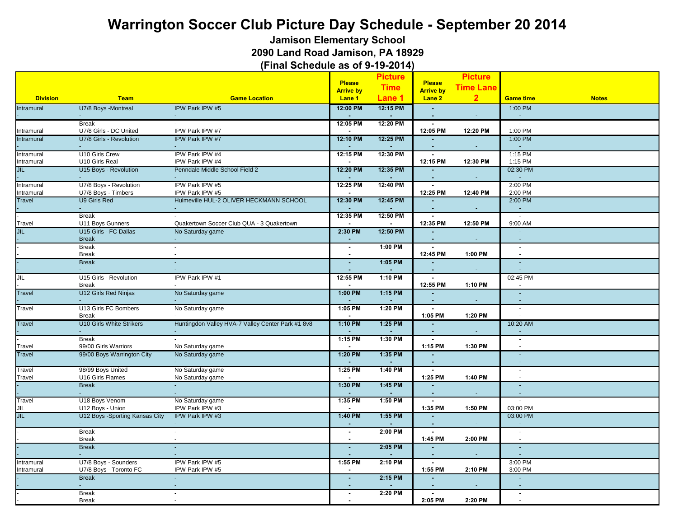**Jamison Elementary School**

**2090 Land Road Jamison, PA 18929**

|                         |                                      |                                                   |                                      | <b>Picture</b> |                            | <b>Picture</b>   |                                            |              |
|-------------------------|--------------------------------------|---------------------------------------------------|--------------------------------------|----------------|----------------------------|------------------|--------------------------------------------|--------------|
|                         |                                      |                                                   | <b>Please</b>                        | <b>Time</b>    | <b>Please</b>              | <b>Time Lane</b> |                                            |              |
| <b>Division</b>         | <b>Team</b>                          | <b>Game Location</b>                              | <b>Arrive by</b><br>Lane 1           | Lane 1         | <b>Arrive by</b><br>Lane 2 | $\overline{2}$   | <b>Game time</b>                           | <b>Notes</b> |
| Intramural              | U7/8 Boys -Montreal                  | IPW Park IPW #5                                   | 12:00 PM                             | 12:15 PM       |                            |                  | 1:00 PM                                    |              |
|                         |                                      |                                                   | $\sim$                               |                |                            | $\sim$           | $\blacksquare$                             |              |
|                         | <b>Break</b>                         |                                                   | 12:05 PM                             | 12:20 PM       | $\blacksquare$             |                  | $\sim$                                     |              |
| Intramural              | U7/8 Girls - DC United               | IPW Park IPW #7                                   |                                      |                | 12:05 PM                   | 12:20 PM         | 1:00 PM                                    |              |
| Intramural              | U7/8 Girls - Revolution              | IPW Park IPW #7                                   | 12:10 PM                             | 12:25 PM       | $\sim$                     |                  | 1:00 PM<br>$\sim$                          |              |
| Intramural              | U10 Girls Crew                       | IPW Park IPW #4                                   | 12:15 PM                             | 12:30 PM       | $\blacksquare$             |                  | 1:15 PM                                    |              |
| Intramural              | U10 Girls Real                       | IPW Park IPW #4                                   | $\sim$                               |                | 12:15 PM                   | 12:30 PM         | 1:15 PM                                    |              |
| JIL                     | U15 Boys - Revolution                | Penndale Middle School Field 2                    | 12:20 PM                             | 12:35 PM       |                            |                  | 02:30 PM                                   |              |
| Intramural              | U7/8 Boys - Revolution               | IPW Park IPW #5                                   | 12:25 PM                             | 12:40 PM       | $\sim$                     |                  | 2:00 PM                                    |              |
| Intramural              | U7/8 Boys - Timbers                  | IPW Park IPW #5                                   |                                      |                | 12:25 PM                   | 12:40 PM         | 2:00 PM                                    |              |
| <b>Travel</b>           | U9 Girls Red                         | Hulmeville HUL-2 OLIVER HECKMANN SCHOOL           | 12:30 PM                             | 12:45 PM       |                            |                  | 2:00 PM                                    |              |
|                         | $\sim$<br><b>Break</b>               | $\sim$                                            | $\overline{\phantom{a}}$<br>12:35 PM | 12:50 PM       |                            | $\blacksquare$   | $\sim$<br>$\sim$                           |              |
| Travel                  | U11 Boys Gunners                     | Quakertown Soccer Club QUA - 3 Quakertown         |                                      |                | 12:35 PM                   | 12:50 PM         | 9:00 AM                                    |              |
| JIL                     | U15 Girls - FC Dallas                | No Saturday game                                  | 2:30 PM                              | 12:50 PM       |                            |                  | $\Delta$                                   |              |
|                         | <b>Break</b>                         |                                                   | ٠                                    |                |                            |                  |                                            |              |
|                         | <b>Break</b>                         | ÷                                                 | $\blacksquare$                       | 1:00 PM        | $\blacksquare$             |                  | $\sim$                                     |              |
|                         | <b>Break</b>                         | $\blacksquare$                                    | $\sim$                               |                | 12:45 PM                   | 1:00 PM          | $\sim$                                     |              |
|                         | <b>Break</b>                         |                                                   | ×.<br>$\overline{a}$                 | 1:05 PM        |                            | $\sim$           |                                            |              |
| JIL                     | U15 Girls - Revolution               | IPW Park IPW #1                                   | 12:55 PM                             | 1:10 PM        | $\sim$                     |                  | 02:45 PM                                   |              |
|                         | <b>Break</b>                         |                                                   |                                      |                | 12:55 PM                   | 1:10 PM          |                                            |              |
| <b>Travel</b>           | U12 Girls Red Ninjas                 | No Saturday game                                  | 1:00 PM<br>$\sim$                    | 1:15 PM        | п.                         | $\sim$           | $\sim$<br>$\sim$                           |              |
| Travel                  | U13 Girls FC Bombers                 | No Saturday game                                  | 1:05 PM                              | 1:20 PM        |                            |                  | $\sim$                                     |              |
|                         | <b>Break</b>                         |                                                   |                                      |                | 1:05 PM                    | 1:20 PM          |                                            |              |
| <b>Travel</b>           | <b>U10 Girls White Strikers</b>      | Huntingdon Valley HVA-7 Valley Center Park #1 8v8 | $1:10$ PM                            | 1:25 PM        |                            |                  | 10:20 AM                                   |              |
|                         |                                      |                                                   |                                      |                |                            |                  | $\blacksquare$                             |              |
|                         | <b>Break</b><br>99/00 Girls Warriors | No Saturday game                                  | 1:15 PM<br>$\sim$                    | 1:30 PM        | $\sim$<br>1:15 PM          | 1:30 PM          | $\blacksquare$<br>$\overline{\phantom{a}}$ |              |
| Travel<br><b>Travel</b> | 99/00 Boys Warrington City           | No Saturday game                                  | 1:20 PM                              | 1:35 PM        |                            |                  |                                            |              |
|                         |                                      |                                                   |                                      |                |                            |                  |                                            |              |
| Travel                  | 98/99 Boys United                    | No Saturday game                                  | $1:25$ PM                            | $1:40$ PM      | $\blacksquare$             |                  | $\sim$                                     |              |
| Travel                  | U16 Girls Flames                     | No Saturday game                                  |                                      |                | 1:25 PM                    | 1:40 PM          |                                            |              |
|                         | <b>Break</b>                         |                                                   | 1:30 PM<br>$\sim$                    | 1:45 PM        | $\sim$                     | $\blacksquare$   | $\Box$<br>$\Delta$                         |              |
| Travel                  | U18 Boys Venom                       | No Saturday game                                  | 1:35 PM                              | 1:50 PM        |                            |                  |                                            |              |
| JIL                     | U12 Boys - Union                     | IPW Park IPW #3                                   |                                      |                | 1:35 PM                    | 1:50 PM          | 03:00 PM                                   |              |
| <b>JIL</b>              | U12 Boys -Sporting Kansas City       | IPW Park IPW #3                                   | 1:40 PM                              | 1:55 PM        |                            |                  | 03:00 PM                                   |              |
|                         | <b>Break</b>                         | $\blacksquare$                                    | $\blacksquare$                       | 2:00 PM        | $\sim$                     |                  | $\blacksquare$                             |              |
|                         | <b>Break</b>                         | $\sim$                                            | $\sim$                               |                | 1:45 PM                    | 2:00 PM          | $\sim$                                     |              |
|                         | <b>Break</b>                         |                                                   | $\blacksquare$                       | 2:05 PM        |                            | $\sim$           | $\sim$<br>$\omega$                         |              |
| Intramural              | U7/8 Boys - Sounders                 | IPW Park IPW #5                                   | $1:55$ PM                            | 2:10 PM        | $\mathbf{r}$               |                  | 3:00 PM                                    |              |
| Intramural              | U7/8 Boys - Toronto FC               | IPW Park IPW #5                                   |                                      |                | 1:55 PM                    | 2:10 PM          | 3:00 PM                                    |              |
|                         | <b>Break</b>                         |                                                   | ä,                                   | 2:15 PM        |                            |                  | $\sim$                                     |              |
|                         |                                      |                                                   |                                      |                |                            |                  |                                            |              |
|                         | <b>Break</b>                         |                                                   |                                      | 2:20 PM        |                            |                  | $\sim$                                     |              |
|                         | <b>Break</b>                         |                                                   |                                      |                | 2:05 PM                    | 2:20 PM          | $\overline{\phantom{a}}$                   |              |